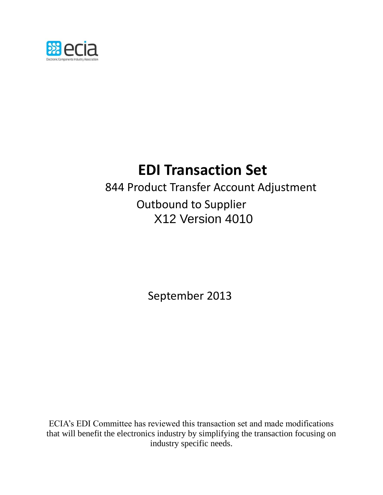

# **EDI Transaction Set**

844 Product Transfer Account Adjustment Outbound to Supplier X12 Version 4010

September 2013

ECIA's EDI Committee has reviewed this transaction set and made modifications that will benefit the electronics industry by simplifying the transaction focusing on industry specific needs.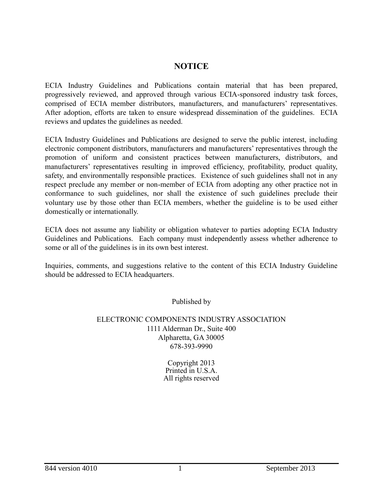### **NOTICE**

**ECIA Industry Guidelines and Publications contain material that has been prepared, progressively reviewed, and approved through various ECIA-sponsored industry task forces, comprised of ECIA member distributors, manufacturers, and manufacturers' representatives. After adoption, efforts are taken to ensure widespread dissemination of the guidelines. ECIA reviews and updates the guidelines as needed.**

**ECIA Industry Guidelines and Publications are designed to serve the public interest, including electronic component distributors, manufacturers and manufacturers' representatives through the promotion of uniform and consistent practices between manufacturers, distributors, and manufacturers' representatives resulting in improved efficiency, profitability, product quality, safety, and environmentally responsible practices. Existence of such guidelines shall not in any respect preclude any member or non-member of ECIA from adopting any other practice not in conformance to such guidelines, nor shall the existence of such guidelines preclude their voluntary use by those other than ECIA members, whether the guideline is to be used either domestically or internationally.**

**ECIA does not assume any liability or obligation whatever to parties adopting ECIA Industry Guidelines and Publications. Each company must independently assess whether adherence to some or all of the guidelines is in its own best interest.**

**Inquiries, comments, and suggestions relative to the content of this ECIA Industry Guideline should be addressed to ECIA headquarters.**

**Published by**

### **ELECTRONIC COMPONENTS INDUSTRY ASSOCIATION 1111 Alderman Dr., Suite 400 Alpharetta, GA 30005 678-393-9990**

**Copyright 2013 Printed in U.S.A. All rights reserved**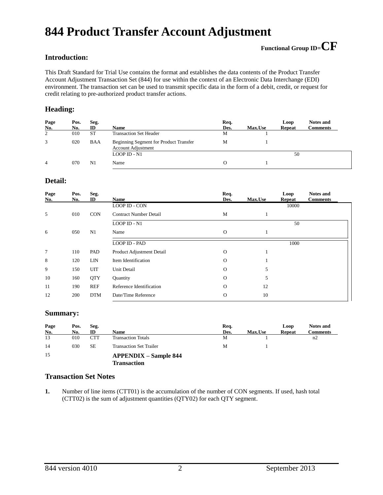## **844 Product Transfer Account Adjustment**

### **Introduction:**

This Draft Standard for Trial Use contains the format and establishes the data contents of the Product Transfer Account Adjustment Transaction Set (844) for use within the context of an Electronic Data Interchange (EDI) environment. The transaction set can be used to transmit specific data in the form of a debit, credit, or request for credit relating to pre-authorized product transfer actions.

### **Heading:**

| Page<br>No. | Pos.<br>No. | Seg.<br>ID | <b>Name</b>                                                         | Req.<br>Des. | <b>Max.Use</b> | Loop<br><b>Repeat</b> | <b>Notes and</b><br>Comments |
|-------------|-------------|------------|---------------------------------------------------------------------|--------------|----------------|-----------------------|------------------------------|
| 2           | 010         | <b>ST</b>  | <b>Transaction Set Header</b>                                       | M            |                |                       |                              |
| 3           | 020         | <b>BAA</b> | Beginning Segment for Product Transfer<br><b>Account Adjustment</b> | M            |                |                       |                              |
|             |             |            | $LOOP$ ID - N1                                                      |              |                | 50                    |                              |
| 4           | 070         | N1         | Name                                                                | О            |                |                       |                              |

### **Detail:**

| Page<br>No. | Pos.<br>No. | Seg.<br>ID | <b>Name</b>                   | Req.<br>Des. | Max.Use | Loop<br>Repeat | <b>Notes and</b><br><b>Comments</b> |
|-------------|-------------|------------|-------------------------------|--------------|---------|----------------|-------------------------------------|
|             |             |            | LOOP ID - CON                 |              |         | 10000          |                                     |
| 5           | 010         | <b>CON</b> | <b>Contract Number Detail</b> | M            |         |                |                                     |
|             |             |            | LOOP ID - N1                  |              |         | 50             |                                     |
| 6           | 050         | N1         | Name                          | $\mathbf 0$  |         |                |                                     |
|             |             |            | <b>LOOP ID - PAD</b>          |              |         | 1000           |                                     |
| 7           | 110         | PAD        | Product Adjustment Detail     | $\Omega$     |         |                |                                     |
| 8           | 120         | <b>LIN</b> | Item Identification           | $\Omega$     |         |                |                                     |
| 9           | 150         | <b>UIT</b> | Unit Detail                   | $\Omega$     | 5       |                |                                     |
| 10          | 160         | <b>QTY</b> | Quantity                      | $\Omega$     | 5       |                |                                     |
| 11          | 190         | <b>REF</b> | Reference Identification      | $\mathbf 0$  | 12      |                |                                     |
| 12          | 200         | <b>DTM</b> | Date/Time Reference           | $\Omega$     | 10      |                |                                     |

### **Summary:**

| Page | Pos. | Seg.       |                                                    | Req. |                | Loop          | <b>Notes and</b> |
|------|------|------------|----------------------------------------------------|------|----------------|---------------|------------------|
| No.  | No.  | ID         | Name                                               | Des. | <b>Max.Use</b> | <b>Repeat</b> | <b>Comments</b>  |
| 13   | 010  | <b>CTT</b> | <b>Transaction Totals</b>                          | М    |                |               | n2               |
| 14   | 030  | <b>SE</b>  | <b>Transaction Set Trailer</b>                     | М    |                |               |                  |
| 15   |      |            | <b>APPENDIX – Sample 844</b><br><b>Transaction</b> |      |                |               |                  |

### **Transaction Set Notes**

**1.** Number of line items (CTT01) is the accumulation of the number of CON segments. If used, hash total (CTT02) is the sum of adjustment quantities (QTY02) for each QTY segment.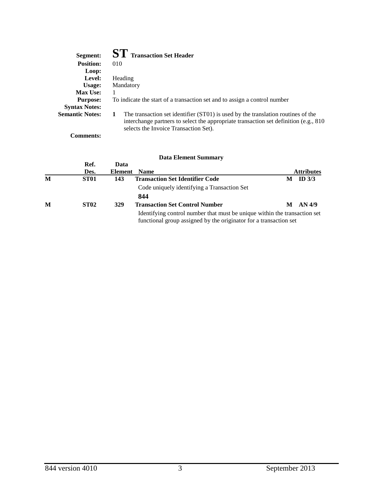| Segment:               | <b>ST</b> Transaction Set Header                                                                                                                                                                                        |
|------------------------|-------------------------------------------------------------------------------------------------------------------------------------------------------------------------------------------------------------------------|
| <b>Position:</b>       | 010                                                                                                                                                                                                                     |
| Loop:                  |                                                                                                                                                                                                                         |
| Level:                 | Heading                                                                                                                                                                                                                 |
| Usage:                 | Mandatory                                                                                                                                                                                                               |
| <b>Max Use:</b>        |                                                                                                                                                                                                                         |
| <b>Purpose:</b>        | To indicate the start of a transaction set and to assign a control number                                                                                                                                               |
| <b>Syntax Notes:</b>   |                                                                                                                                                                                                                         |
| <b>Semantic Notes:</b> | The transaction set identifier (ST01) is used by the translation routines of the<br>1<br>interchange partners to select the appropriate transaction set definition (e.g., 810)<br>selects the Invoice Transaction Set). |

**Comments:**

|   |             |         | <b>Data Element Summary</b>                                                                                                                    |   |                   |
|---|-------------|---------|------------------------------------------------------------------------------------------------------------------------------------------------|---|-------------------|
|   | Ref.        | Data    |                                                                                                                                                |   |                   |
|   | Des.        | Element | <b>Name</b>                                                                                                                                    |   | <b>Attributes</b> |
| M | ST01        | 143     | <b>Transaction Set Identifier Code</b>                                                                                                         | M | ID $3/3$          |
|   |             |         | Code uniquely identifying a Transaction Set                                                                                                    |   |                   |
|   |             |         | 844                                                                                                                                            |   |                   |
| M | <b>ST02</b> | 329     | <b>Transaction Set Control Number</b>                                                                                                          | M | AN 4/9            |
|   |             |         | Identifying control number that must be unique within the transaction set<br>functional group assigned by the originator for a transaction set |   |                   |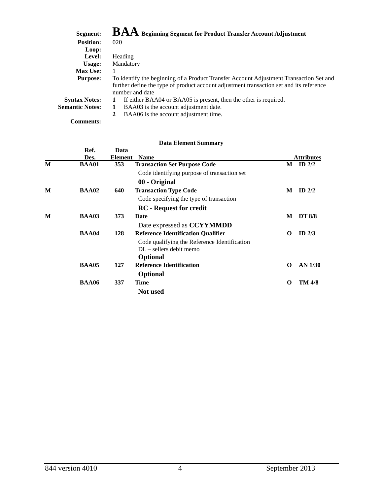| Segment:               | $\mathbf{B}\mathbf{A}\mathbf{A}\mathbf{}$ Beginning Segment for Product Transfer Account Adjustment |
|------------------------|-----------------------------------------------------------------------------------------------------|
| <b>Position:</b>       | 020                                                                                                 |
| Loop:                  |                                                                                                     |
| Level:                 | Heading                                                                                             |
| Usage:                 | Mandatory                                                                                           |
| Max Use:               |                                                                                                     |
| <b>Purpose:</b>        | To identify the beginning of a Product Transfer Account Adjustment Transaction Set and              |
|                        | further define the type of product account adjustment transaction set and its reference             |
|                        | number and date                                                                                     |
| <b>Syntax Notes:</b>   | If either BAA04 or BAA05 is present, then the other is required.                                    |
| <b>Semantic Notes:</b> | BAA03 is the account adjustment date.<br>1                                                          |
|                        | BAA06 is the account adjustment time.<br>2                                                          |
| <b>Comments:</b>       |                                                                                                     |

|   | Ref.         | Data    |                                              |          |                     |
|---|--------------|---------|----------------------------------------------|----------|---------------------|
|   | Des.         | Element | <b>Name</b>                                  |          | <b>Attributes</b>   |
| M | <b>BAA01</b> | 353     | <b>Transaction Set Purpose Code</b>          |          | $\mathbf{M}$ ID 2/2 |
|   |              |         | Code identifying purpose of transaction set  |          |                     |
|   |              |         | 00 - Original                                |          |                     |
| M | BAA02        | 640     | <b>Transaction Type Code</b>                 | М        | ID $2/2$            |
|   |              |         | Code specifying the type of transaction      |          |                     |
|   |              |         | <b>RC</b> - Request for credit               |          |                     |
| M | <b>BAA03</b> | 373     | Date                                         | М        | <b>DT 8/8</b>       |
|   |              |         | Date expressed as CCYYMMDD                   |          |                     |
|   | <b>BAA04</b> | 128     | <b>Reference Identification Qualifier</b>    | $\Omega$ | ID $2/3$            |
|   |              |         | Code qualifying the Reference Identification |          |                     |
|   |              |         | $DL$ – sellers debit memo                    |          |                     |
|   |              |         | <b>Optional</b>                              |          |                     |
|   | <b>BAA05</b> | 127     | <b>Reference Identification</b>              | $\Omega$ | AN 1/30             |
|   |              |         | <b>Optional</b>                              |          |                     |
|   | <b>BAA06</b> | 337     | Time                                         | $\Omega$ | <b>TM 4/8</b>       |
|   |              |         | <b>Not</b> used                              |          |                     |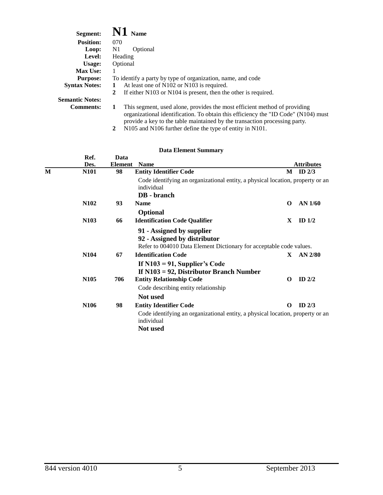| <b>Segment:</b>        | $\bf{N1}$ Name                                                                                                                                                                                                                                     |
|------------------------|----------------------------------------------------------------------------------------------------------------------------------------------------------------------------------------------------------------------------------------------------|
| <b>Position:</b>       | 070                                                                                                                                                                                                                                                |
| Loop:                  | N1<br>Optional                                                                                                                                                                                                                                     |
| Level:                 | Heading                                                                                                                                                                                                                                            |
| Usage:                 | Optional                                                                                                                                                                                                                                           |
| <b>Max Use:</b>        |                                                                                                                                                                                                                                                    |
| <b>Purpose:</b>        | To identify a party by type of organization, name, and code                                                                                                                                                                                        |
| <b>Syntax Notes:</b>   | At least one of N102 or N103 is required.<br>1                                                                                                                                                                                                     |
|                        | If either N103 or N104 is present, then the other is required.<br>2                                                                                                                                                                                |
| <b>Semantic Notes:</b> |                                                                                                                                                                                                                                                    |
| <b>Comments:</b>       | This segment, used alone, provides the most efficient method of providing<br>1<br>organizational identification. To obtain this efficiency the "ID Code" (N104) must<br>provide a key to the table maintained by the transaction processing party. |

|  |  | 2 N105 and N106 further define the type of entity in N101. |  |  |
|--|--|------------------------------------------------------------|--|--|
|  |  |                                                            |  |  |

|   |                   |                | <b>Data Element Summary</b>                                                                                                      |          |                   |
|---|-------------------|----------------|----------------------------------------------------------------------------------------------------------------------------------|----------|-------------------|
|   | Ref.              | Data           |                                                                                                                                  |          |                   |
|   | Des.              | <b>Element</b> | <b>Name</b>                                                                                                                      |          | <b>Attributes</b> |
| M | <b>N101</b>       | 98             | <b>Entity Identifier Code</b>                                                                                                    | M        | ID $2/3$          |
|   |                   |                | Code identifying an organizational entity, a physical location, property or an<br>individual                                     |          |                   |
|   |                   |                | DB - branch                                                                                                                      |          |                   |
|   | N <sub>1</sub> 02 | 93             | <b>Name</b>                                                                                                                      | $\Omega$ | AN 1/60           |
|   |                   |                | <b>Optional</b>                                                                                                                  |          |                   |
|   | N <sub>103</sub>  | 66             | <b>Identification Code Qualifier</b>                                                                                             | X        | ID $1/2$          |
|   |                   |                | 91 - Assigned by supplier<br>92 - Assigned by distributor<br>Refer to 004010 Data Element Dictionary for acceptable code values. |          |                   |
|   | N <sub>104</sub>  | 67             | <b>Identification Code</b>                                                                                                       | X        | AN $2/80$         |
|   | N <sub>105</sub>  | 706            | If $N103 = 91$ , Supplier's Code<br>If $N103 = 92$ , Distributor Branch Number<br><b>Entity Relationship Code</b>                | $\Omega$ | ID $2/2$          |
|   |                   |                | Code describing entity relationship                                                                                              |          |                   |
|   |                   |                |                                                                                                                                  |          |                   |
|   |                   |                | Not used                                                                                                                         |          |                   |
|   | N <sub>106</sub>  | 98             | <b>Entity Identifier Code</b>                                                                                                    | 0        | ID $2/3$          |
|   |                   |                | Code identifying an organizational entity, a physical location, property or an<br>individual                                     |          |                   |
|   |                   |                | Not used                                                                                                                         |          |                   |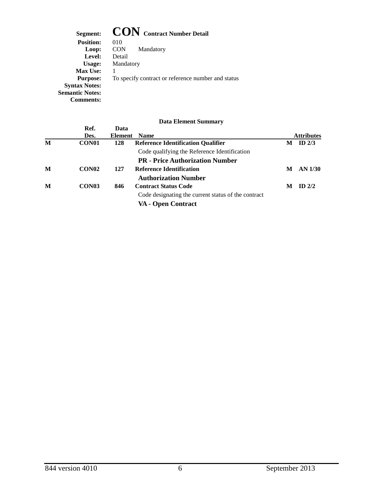Segment: **CON** Contract Number Detail<br>Position: 010 **Position: Loop:** CON Mandatory **Level:** Detail **Usage:** Mandatory **Max Use:** 1 **Purpose:** To specify contract or reference number and status **Syntax Notes: Semantic Notes: Comments:**

|                   |      | $\boldsymbol{\nu}$ utu Enchicht Duminium            |                |                   |
|-------------------|------|-----------------------------------------------------|----------------|-------------------|
| Ref.              | Data |                                                     |                |                   |
| Des.              |      | <b>Name</b>                                         |                | <b>Attributes</b> |
| CON <sub>01</sub> | 128  | <b>Reference Identification Qualifier</b>           | M              | ID $2/3$          |
|                   |      | Code qualifying the Reference Identification        |                |                   |
|                   |      | <b>PR</b> - Price Authorization Number              |                |                   |
| CON <sub>02</sub> | 127  | <b>Reference Identification</b>                     | M              | AN 1/30           |
|                   |      | <b>Authorization Number</b>                         |                |                   |
| CON <sub>03</sub> | 846  | <b>Contract Status Code</b>                         | М              | $ID$ 2/2          |
|                   |      | Code designating the current status of the contract |                |                   |
|                   |      | VA - Open Contract                                  |                |                   |
|                   |      |                                                     | <b>Element</b> |                   |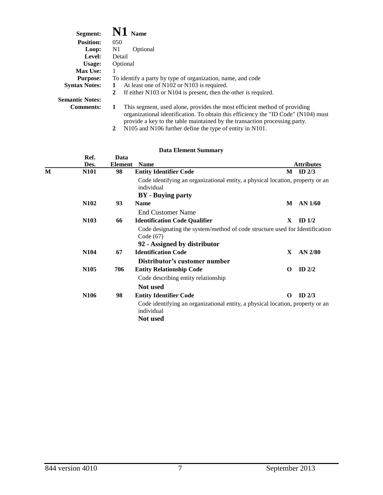| Segment:               | <b>Name</b>                                                                                                                                                                                                                                        |
|------------------------|----------------------------------------------------------------------------------------------------------------------------------------------------------------------------------------------------------------------------------------------------|
| <b>Position:</b>       | 050                                                                                                                                                                                                                                                |
| Loop:                  | N1<br>Optional                                                                                                                                                                                                                                     |
| Level:                 | Detail                                                                                                                                                                                                                                             |
| Usage:                 | Optional                                                                                                                                                                                                                                           |
| <b>Max Use:</b>        |                                                                                                                                                                                                                                                    |
| <b>Purpose:</b>        | To identify a party by type of organization, name, and code                                                                                                                                                                                        |
| <b>Syntax Notes:</b>   | At least one of N102 or N103 is required.                                                                                                                                                                                                          |
|                        | If either $N103$ or $N104$ is present, then the other is required.<br>2                                                                                                                                                                            |
| <b>Semantic Notes:</b> |                                                                                                                                                                                                                                                    |
| <b>Comments:</b>       | This segment, used alone, provides the most efficient method of providing<br>1<br>organizational identification. To obtain this efficiency the "ID Code" (N104) must<br>provide a key to the table maintained by the transaction processing party. |

|  | 2 N105 and N106 further define the type of entity in N101. |  |  |  |
|--|------------------------------------------------------------|--|--|--|
|  |                                                            |  |  |  |

|   | Ref.<br>Des.     | Data<br><b>Element</b> | <b>Name</b>                                                                                  |              | <b>Attributes</b> |
|---|------------------|------------------------|----------------------------------------------------------------------------------------------|--------------|-------------------|
| М | <b>N101</b>      | 98                     | <b>Entity Identifier Code</b>                                                                |              | $M$ ID 2/3        |
|   |                  |                        | Code identifying an organizational entity, a physical location, property or an<br>individual |              |                   |
|   |                  |                        | <b>BY</b> - Buying party                                                                     |              |                   |
|   | N <sub>102</sub> | 93                     | <b>Name</b>                                                                                  | M            | AN 1/60           |
|   |                  |                        | End Customer Name                                                                            |              |                   |
|   | N <sub>103</sub> | 66                     | <b>Identification Code Qualifier</b>                                                         | X            | ID $1/2$          |
|   |                  |                        | Code designating the system/method of code structure used for Identification<br>Code (67)    |              |                   |
|   |                  |                        | 92 - Assigned by distributor                                                                 |              |                   |
|   | N <sub>104</sub> | 67                     | <b>Identification Code</b>                                                                   | $\mathbf{X}$ | $AN$ 2/80         |
|   |                  |                        | Distributor's customer number                                                                |              |                   |
|   | N <sub>105</sub> | 706                    | <b>Entity Relationship Code</b>                                                              | O            | ID $2/2$          |
|   |                  |                        | Code describing entity relationship                                                          |              |                   |
|   |                  |                        | <b>Not</b> used                                                                              |              |                   |
|   | N <sub>106</sub> | 98                     | <b>Entity Identifier Code</b>                                                                | O            | ID $2/3$          |
|   |                  |                        | Code identifying an organizational entity, a physical location, property or an<br>individual |              |                   |
|   |                  |                        | Not used                                                                                     |              |                   |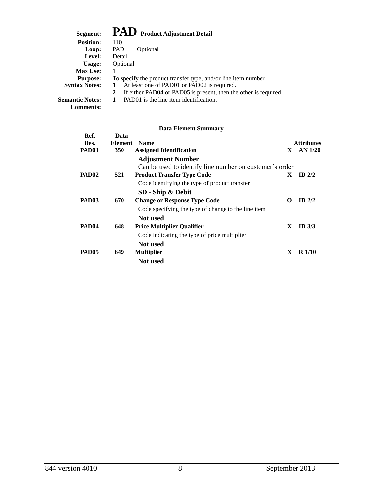| Segment:               | PAD Product Adjustment Detail                                         |
|------------------------|-----------------------------------------------------------------------|
| <b>Position:</b>       | 110                                                                   |
| Loop:                  | <b>PAD</b><br>Optional                                                |
| Level:                 | Detail                                                                |
| Usage:                 | Optional                                                              |
| <b>Max Use:</b>        |                                                                       |
| <b>Purpose:</b>        | To specify the product transfer type, and/or line item number         |
| <b>Syntax Notes:</b>   | At least one of PAD01 or PAD02 is required.                           |
|                        | If either PAD04 or PAD05 is present, then the other is required.<br>2 |
| <b>Semantic Notes:</b> | PAD01 is the line item identification.                                |
| <b>Comments:</b>       |                                                                       |

| Ref.<br>Des.      | Data<br><b>Element</b> | <b>Name</b>                                             | <b>Attributes</b> |
|-------------------|------------------------|---------------------------------------------------------|-------------------|
| PAD <sub>01</sub> | <b>350</b>             | <b>Assigned Identification</b><br>$\mathbf{X}$          | AN 1/20           |
|                   |                        | <b>Adjustment Number</b>                                |                   |
|                   |                        | Can be used to identify line number on customer's order |                   |
| PAD <sub>02</sub> | 521                    | <b>Product Transfer Type Code</b><br>X.                 | ID $2/2$          |
|                   |                        | Code identifying the type of product transfer           |                   |
|                   |                        | SD - Ship & Debit                                       |                   |
| PAD <sub>03</sub> | 670                    | <b>Change or Response Type Code</b><br>O                | ID $2/2$          |
|                   |                        | Code specifying the type of change to the line item     |                   |
|                   |                        | Not used                                                |                   |
| PAD <sub>04</sub> | 648                    | <b>Price Multiplier Qualifier</b><br>X                  | ID $3/3$          |
|                   |                        | Code indicating the type of price multiplier            |                   |
|                   |                        | <b>Not</b> used                                         |                   |
| PAD <sub>05</sub> | 649                    | X<br><b>Multiplier</b>                                  | $R\ 1/10$         |
|                   |                        | Not used                                                |                   |
|                   |                        |                                                         |                   |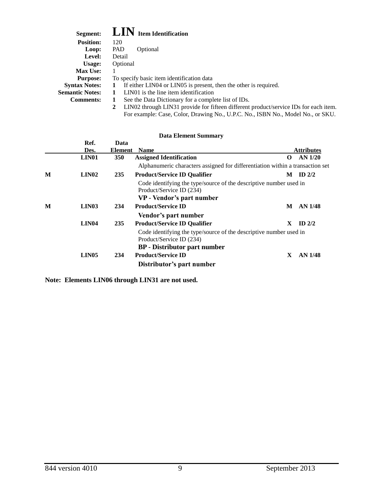| Segment:               | $\mathbf{LIN}\;$ Item Identification                                                      |
|------------------------|-------------------------------------------------------------------------------------------|
| <b>Position:</b>       | 120                                                                                       |
| Loop:                  | PAD<br>Optional                                                                           |
| Level:                 | Detail                                                                                    |
| Usage:                 | Optional                                                                                  |
| <b>Max Use:</b>        |                                                                                           |
| <b>Purpose:</b>        | To specify basic item identification data                                                 |
| <b>Syntax Notes:</b>   | If either LINO4 or LINO5 is present, then the other is required.<br>1                     |
| <b>Semantic Notes:</b> | LIN01 is the line item identification                                                     |
| <b>Comments:</b>       | See the Data Dictionary for a complete list of IDs.<br>1                                  |
|                        | LIN02 through LIN31 provide for fifteen different product/service IDs for each item.<br>2 |
|                        | For example: Case, Color, Drawing No., U.P.C. No., ISBN No., Model No., or SKU.           |

|   | Ref.<br>Des.      | Data<br>Element | <b>Name</b>                                                                                                                           |   | <b>Attributes</b> |
|---|-------------------|-----------------|---------------------------------------------------------------------------------------------------------------------------------------|---|-------------------|
|   | LIN <sub>01</sub> | <b>350</b>      | <b>Assigned Identification</b>                                                                                                        | O | <b>AN 1/20</b>    |
|   |                   |                 | Alphanumeric characters assigned for differentiation within a transaction set                                                         |   |                   |
| M | LIN02             | 235             | <b>Product/Service ID Qualifier</b>                                                                                                   | М | ID $2/2$          |
|   |                   |                 | Code identifying the type/source of the descriptive number used in<br>Product/Service ID (234)<br>VP - Vendor's part number           |   |                   |
| M | <b>LIN03</b>      | 234             | <b>Product/Service ID</b>                                                                                                             | M | <b>AN 1/48</b>    |
|   |                   |                 | Vendor's part number                                                                                                                  |   |                   |
|   | LIN <sub>04</sub> | 235             | <b>Product/Service ID Qualifier</b>                                                                                                   | X | ID $2/2$          |
|   |                   |                 | Code identifying the type/source of the descriptive number used in<br>Product/Service ID (234)<br><b>BP</b> - Distributor part number |   |                   |
|   | LIN05             | 234             | <b>Product/Service ID</b>                                                                                                             | X | AN 1/48           |
|   |                   |                 | Distributor's part number                                                                                                             |   |                   |

**Note: Elements LIN06 through LIN31 are not used.**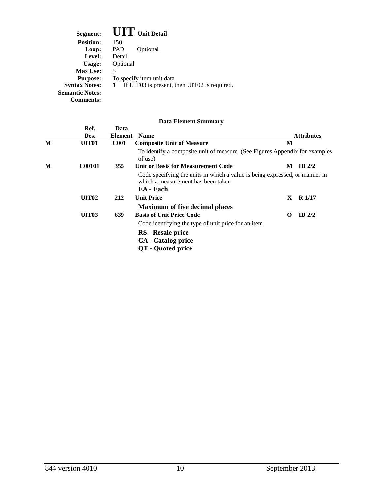| Segment:               | <b>UIT</b> Unit Detail                            |
|------------------------|---------------------------------------------------|
| <b>Position:</b>       | 150                                               |
| Loop:                  | PAD<br>Optional                                   |
| Level:                 | Detail                                            |
| Usage:                 | Optional                                          |
| <b>Max Use:</b>        | 5                                                 |
| <b>Purpose:</b>        | To specify item unit data                         |
| <b>Syntax Notes:</b>   | If UIT03 is present, then UIT02 is required.<br>1 |
| <b>Semantic Notes:</b> |                                                   |
| Comments:              |                                                   |

|   | Ref.              | Data        |                                                                                                                                |    |                   |
|---|-------------------|-------------|--------------------------------------------------------------------------------------------------------------------------------|----|-------------------|
|   | Des.              | Element     | <b>Name</b>                                                                                                                    |    | <b>Attributes</b> |
| M | UIT <sub>01</sub> | <b>C001</b> | <b>Composite Unit of Measure</b>                                                                                               | M  |                   |
|   |                   |             | To identify a composite unit of measure (See Figures Appendix for examples<br>of use)                                          |    |                   |
| M | <b>C00101</b>     | 355         | <b>Unit or Basis for Measurement Code</b>                                                                                      | М  | ID $2/2$          |
|   |                   |             | Code specifying the units in which a value is being expressed, or manner in<br>which a measurement has been taken<br>EA - Each |    |                   |
|   | <b>UIT02</b>      | 212         | <b>Unit Price</b>                                                                                                              | X. | <b>R</b> 1/17     |
|   |                   |             | <b>Maximum of five decimal places</b>                                                                                          |    |                   |
|   | <b>UIT03</b>      | 639         | <b>Basis of Unit Price Code</b>                                                                                                | 0  | ID $2/2$          |
|   |                   |             | Code identifying the type of unit price for an item                                                                            |    |                   |
|   |                   |             | RS - Resale price                                                                                                              |    |                   |
|   |                   |             | <b>CA</b> - Catalog price                                                                                                      |    |                   |
|   |                   |             | <b>QT</b> - Quoted price                                                                                                       |    |                   |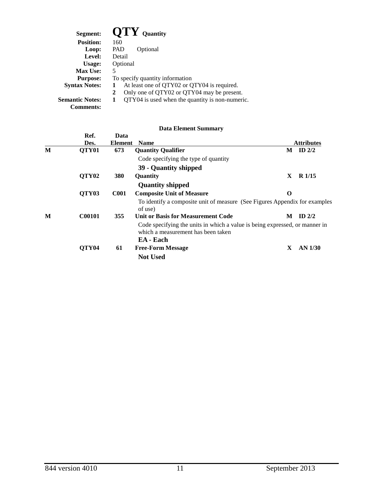| Segment:               | $\bf{O}TY$ Quantity                             |
|------------------------|-------------------------------------------------|
| <b>Position:</b>       | 160                                             |
| Loop:                  | PAD<br>Optional                                 |
| Level:                 | Detail                                          |
| Usage:                 | Optional                                        |
| <b>Max Use:</b>        | 5                                               |
| <b>Purpose:</b>        | To specify quantity information                 |
| <b>Syntax Notes:</b>   | At least one of QTY02 or QTY04 is required.     |
|                        | Only one of QTY02 or QTY04 may be present.<br>2 |
| <b>Semantic Notes:</b> | QTY04 is used when the quantity is non-numeric. |
| <b>Comments:</b>       |                                                 |

|   | Ref.<br>Des.      | Data<br><b>Element</b> | <b>Name</b>                                                                                                                    |   | <b>Attributes</b> |
|---|-------------------|------------------------|--------------------------------------------------------------------------------------------------------------------------------|---|-------------------|
| M | QTY <sub>01</sub> | 673                    | <b>Quantity Qualifier</b>                                                                                                      | М | ID $2/2$          |
|   |                   |                        | Code specifying the type of quantity                                                                                           |   |                   |
|   |                   |                        | 39 - Quantity shipped                                                                                                          |   |                   |
|   | QTY <sub>02</sub> | <b>380</b>             | Quantity                                                                                                                       | X | R <sub>1/15</sub> |
|   |                   |                        | <b>Quantity shipped</b>                                                                                                        |   |                   |
|   | QTY03             | <b>C001</b>            | <b>Composite Unit of Measure</b>                                                                                               | O |                   |
|   |                   |                        | To identify a composite unit of measure (See Figures Appendix for examples<br>of use)                                          |   |                   |
| M | <b>C00101</b>     | 355                    | <b>Unit or Basis for Measurement Code</b>                                                                                      | М | $ID$ $2/2$        |
|   |                   |                        | Code specifying the units in which a value is being expressed, or manner in<br>which a measurement has been taken<br>EA - Each |   |                   |
|   | QTY <sub>04</sub> | 61                     | <b>Free-Form Message</b>                                                                                                       | X | AN 1/30           |
|   |                   |                        | <b>Not Used</b>                                                                                                                |   |                   |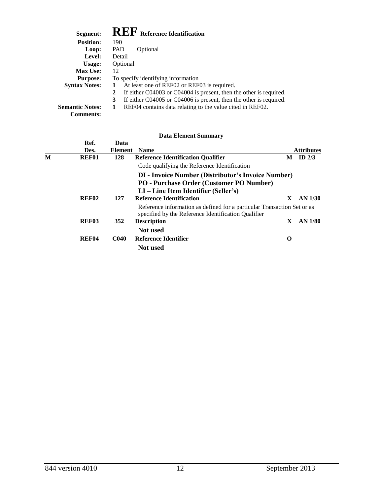| Segment:               | <b>REF</b> Reference Identification                                     |
|------------------------|-------------------------------------------------------------------------|
| <b>Position:</b>       | 190                                                                     |
| Loop:                  | <b>PAD</b><br>Optional                                                  |
| Level:                 | Detail                                                                  |
| Usage:                 | Optional                                                                |
| <b>Max Use:</b>        | 12                                                                      |
| <b>Purpose:</b>        | To specify identifying information                                      |
| <b>Syntax Notes:</b>   | At least one of REF02 or REF03 is required.                             |
|                        | If either C04003 or C04004 is present, then the other is required.<br>2 |
|                        | If either C04005 or C04006 is present, then the other is required.<br>3 |
| <b>Semantic Notes:</b> | REF04 contains data relating to the value cited in REF02.<br>1          |
| <b>Comments:</b>       |                                                                         |

|   |                   |             | <b>Data Element Summary</b>                                             |    |                   |
|---|-------------------|-------------|-------------------------------------------------------------------------|----|-------------------|
|   | Ref.              | Data        |                                                                         |    |                   |
|   | Des.              | Element     | <b>Name</b>                                                             |    | <b>Attributes</b> |
| М | REF01             | 128         | <b>Reference Identification Qualifier</b>                               |    | $M$ ID 2/3        |
|   |                   |             | Code qualifying the Reference Identification                            |    |                   |
|   |                   |             | <b>DI</b> - Invoice Number (Distributor's Invoice Number)               |    |                   |
|   |                   |             | PO - Purchase Order (Customer PO Number)                                |    |                   |
|   |                   |             | $LI$ – Line Item Identifier (Seller's)                                  |    |                   |
|   | REF <sub>02</sub> | 127         | <b>Reference Identification</b>                                         | X. | AN 1/30           |
|   |                   |             | Reference information as defined for a particular Transaction Set or as |    |                   |
|   |                   |             | specified by the Reference Identification Qualifier                     |    |                   |
|   | REF <sub>03</sub> | 352         | <b>Description</b>                                                      | X  | AN 1/80           |
|   |                   |             | Not used                                                                |    |                   |
|   | REF <sub>04</sub> | <b>C040</b> | Reference Identifier                                                    | O  |                   |
|   |                   |             | <b>Not</b> used                                                         |    |                   |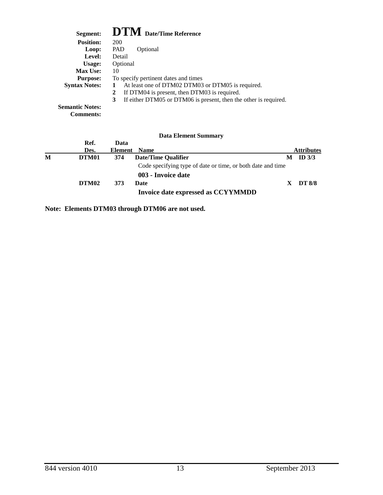| Segment:                                   | <b>DTM</b> Date/Time Reference                                        |
|--------------------------------------------|-----------------------------------------------------------------------|
| <b>Position:</b>                           | 200                                                                   |
| Loop:                                      | <b>PAD</b><br>Optional                                                |
| Level:                                     | Detail                                                                |
| Usage:                                     | Optional                                                              |
| <b>Max Use:</b>                            | 10                                                                    |
| <b>Purpose:</b>                            | To specify pertinent dates and times                                  |
| <b>Syntax Notes:</b>                       | At least one of DTM02 DTM03 or DTM05 is required.                     |
|                                            | If DTM04 is present, then DTM03 is required.<br>$\mathbf{2}$          |
|                                            | 3<br>If either DTM05 or DTM06 is present, then the other is required. |
| <b>Semantic Notes:</b><br><b>Comments:</b> |                                                                       |

|   |       |         | <b>Data Element Summary</b>                                 |   |                   |
|---|-------|---------|-------------------------------------------------------------|---|-------------------|
|   | Ref.  | Data    |                                                             |   |                   |
|   | Des.  | Element | <b>Name</b>                                                 |   | <b>Attributes</b> |
| M | DTM01 | 374     | Date/Time Qualifier                                         | M | ID $3/3$          |
|   |       |         | Code specifying type of date or time, or both date and time |   |                   |
|   |       |         | 003 - Invoice date                                          |   |                   |
|   | DTM02 | 373     | Date                                                        | X | <b>DT 8/8</b>     |
|   |       |         | Invoice date expressed as CCYYMMDD                          |   |                   |

**Note: Elements DTM03 through DTM06 are not used.**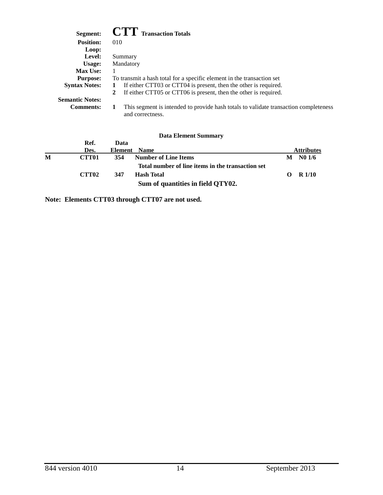| Segment:               | <b>CTT</b> Transaction Totals                                                                            |  |  |  |  |  |
|------------------------|----------------------------------------------------------------------------------------------------------|--|--|--|--|--|
| <b>Position:</b>       | 010                                                                                                      |  |  |  |  |  |
| Loop:                  |                                                                                                          |  |  |  |  |  |
| Level:                 | Summary                                                                                                  |  |  |  |  |  |
| Usage:                 | Mandatory                                                                                                |  |  |  |  |  |
| <b>Max Use:</b>        | 1                                                                                                        |  |  |  |  |  |
| <b>Purpose:</b>        | To transmit a hash total for a specific element in the transaction set                                   |  |  |  |  |  |
| <b>Syntax Notes:</b>   | If either CTT03 or CTT04 is present, then the other is required.                                         |  |  |  |  |  |
|                        | If either CTT05 or CTT06 is present, then the other is required.<br>2                                    |  |  |  |  |  |
| <b>Semantic Notes:</b> |                                                                                                          |  |  |  |  |  |
| <b>Comments:</b>       | This segment is intended to provide hash totals to validate transaction completeness<br>and correctness. |  |  |  |  |  |

|   |                   |              | <b>Data Element Summary</b>                       |   |                   |
|---|-------------------|--------------|---------------------------------------------------|---|-------------------|
|   | Ref.              | Data         |                                                   |   |                   |
|   | Des.              | Element Name |                                                   |   | <b>Attributes</b> |
| M | <b>CTT01</b>      | 354          | <b>Number of Line Items</b>                       | М | N01/6             |
|   |                   |              | Total number of line items in the transaction set |   |                   |
|   | CTT <sub>02</sub> | 347          | Hash Total                                        |   | R <sub>1/10</sub> |
|   |                   |              | Sum of quantities in field QTY02.                 |   |                   |

**Note: Elements CTT03 through CTT07 are not used.**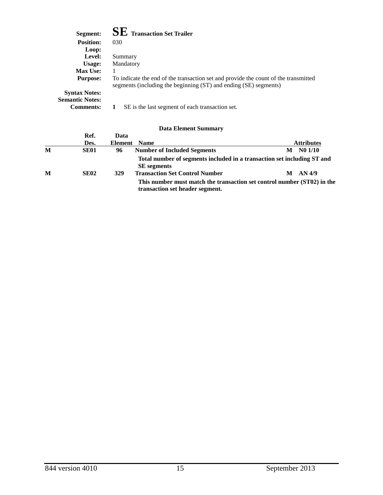| Segment:               | <b>SE</b> Transaction Set Trailer                                                                                                                       |
|------------------------|---------------------------------------------------------------------------------------------------------------------------------------------------------|
| <b>Position:</b>       | 030                                                                                                                                                     |
| Loop:                  |                                                                                                                                                         |
| Level:                 | Summary                                                                                                                                                 |
| Usage:                 | Mandatory                                                                                                                                               |
| <b>Max Use:</b>        |                                                                                                                                                         |
| <b>Purpose:</b>        | To indicate the end of the transaction set and provide the count of the transmitted<br>segments (including the beginning (ST) and ending (SE) segments) |
| <b>Syntax Notes:</b>   |                                                                                                                                                         |
| <b>Semantic Notes:</b> |                                                                                                                                                         |
| <b>Comments:</b>       | SE is the last segment of each transaction set.                                                                                                         |

|   | Ref.        | Data    |                                                                                                            |   |                   |
|---|-------------|---------|------------------------------------------------------------------------------------------------------------|---|-------------------|
|   | Des.        | Element | <b>Name</b>                                                                                                |   | <b>Attributes</b> |
| M | <b>SE01</b> | 96      | <b>Number of Included Segments</b>                                                                         | М | N01/10            |
|   |             |         | Total number of segments included in a transaction set including ST and<br><b>SE</b> segments              |   |                   |
| M | <b>SE02</b> | 329     | <b>Transaction Set Control Number</b>                                                                      | M | AN 4/9            |
|   |             |         | This number must match the transaction set control number (ST02) in the<br>transaction set header segment. |   |                   |